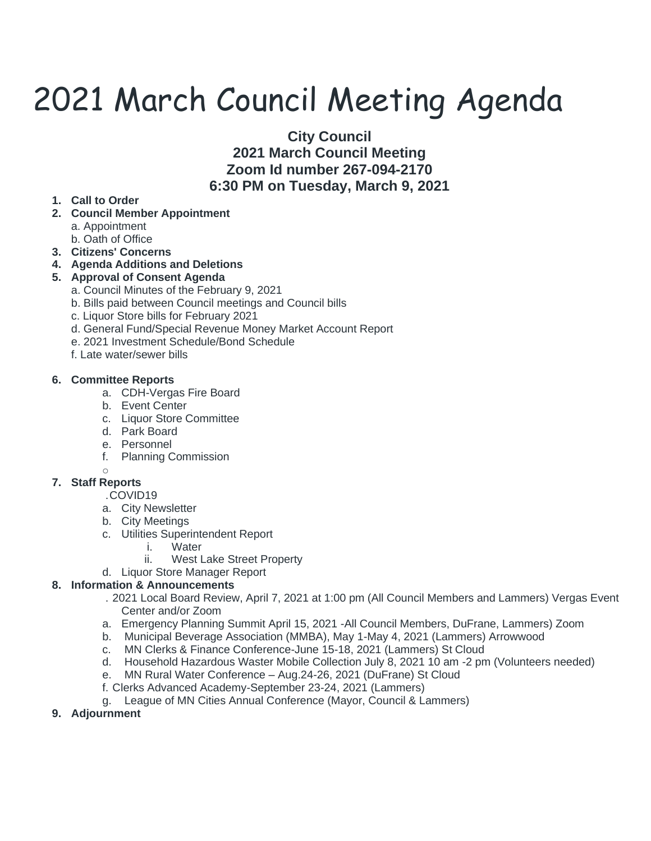# 2021 March Council Meeting Agenda

**City Council 2021 March Council Meeting Zoom Id number 267-094-2170 6:30 PM on Tuesday, March 9, 2021**

### **1. Call to Order**

- **2. Council Member Appointment**
	- a. Appointment
	- b. Oath of Office
- **3. Citizens' Concerns**
- **4. Agenda Additions and Deletions**

#### **5. Approval of Consent Agenda**

- a. Council Minutes of the February 9, 2021
- b. Bills paid between Council meetings and Council bills
- c. Liquor Store bills for February 2021
- d. General Fund/Special Revenue Money Market Account Report
- e. 2021 Investment Schedule/Bond Schedule
- f. Late water/sewer bills

#### **6. Committee Reports**

- a. CDH-Vergas Fire Board
- b. Event Center
- c. Liquor Store Committee
- d. Park Board
- e. Personnel
- f. Planning Commission

#### o

#### **7. Staff Reports**

.COVID19

- a. City Newsletter
- b. City Meetings
- c. Utilities Superintendent Report
	- i. Water
	- ii. West Lake Street Property
- d. Liquor Store Manager Report

#### **8. Information & Announcements**

- . 2021 Local Board Review, April 7, 2021 at 1:00 pm (All Council Members and Lammers) Vergas Event Center and/or Zoom
- a. Emergency Planning Summit April 15, 2021 -All Council Members, DuFrane, Lammers) Zoom
- b. Municipal Beverage Association (MMBA), May 1-May 4, 2021 (Lammers) Arrowwood
- c. MN Clerks & Finance Conference-June 15-18, 2021 (Lammers) St Cloud
- d. Household Hazardous Waster Mobile Collection July 8, 2021 10 am -2 pm (Volunteers needed)
- e. MN Rural Water Conference Aug.24-26, 2021 (DuFrane) St Cloud
- f. Clerks Advanced Academy-September 23-24, 2021 (Lammers)
- g. League of MN Cities Annual Conference (Mayor, Council & Lammers)
- **9. Adjournment**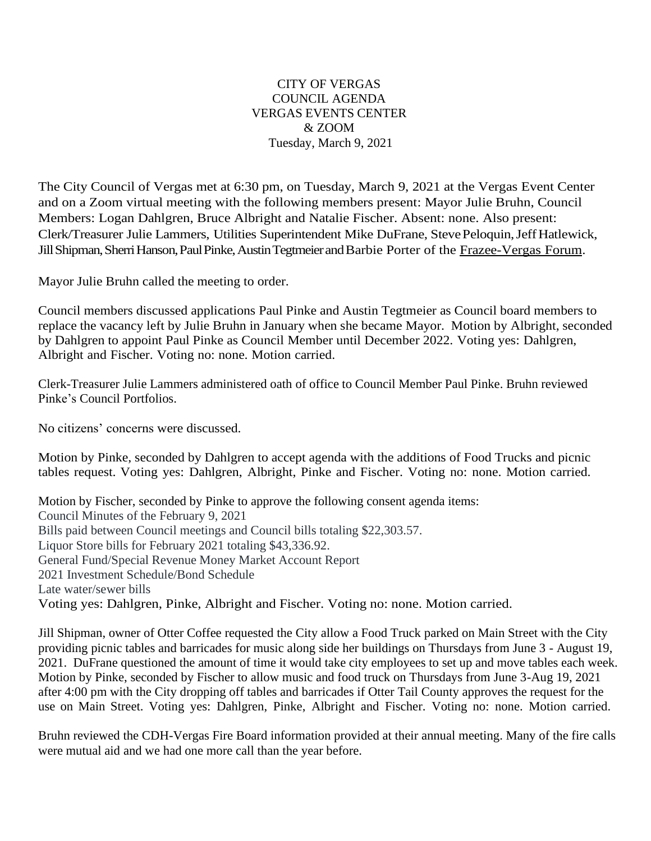## CITY OF VERGAS COUNCIL AGENDA VERGAS EVENTS CENTER & ZOOM Tuesday, March 9, 2021

The City Council of Vergas met at 6:30 pm, on Tuesday, March 9, 2021 at the Vergas Event Center and on a Zoom virtual meeting with the following members present: Mayor Julie Bruhn, Council Members: Logan Dahlgren, Bruce Albright and Natalie Fischer. Absent: none. Also present: Clerk/Treasurer Julie Lammers, Utilities Superintendent Mike DuFrane, StevePeloquin,JeffHatlewick, JillShipman,SherriHanson,PaulPinke,AustinTegtmeierandBarbie Porter of the Frazee-Vergas Forum.

Mayor Julie Bruhn called the meeting to order.

Council members discussed applications Paul Pinke and Austin Tegtmeier as Council board members to replace the vacancy left by Julie Bruhn in January when she became Mayor. Motion by Albright, seconded by Dahlgren to appoint Paul Pinke as Council Member until December 2022. Voting yes: Dahlgren, Albright and Fischer. Voting no: none. Motion carried.

Clerk-Treasurer Julie Lammers administered oath of office to Council Member Paul Pinke. Bruhn reviewed Pinke's Council Portfolios.

No citizens' concerns were discussed.

Motion by Pinke, seconded by Dahlgren to accept agenda with the additions of Food Trucks and picnic tables request. Voting yes: Dahlgren, Albright, Pinke and Fischer. Voting no: none. Motion carried.

Motion by Fischer, seconded by Pinke to approve the following consent agenda items: Council Minutes of the February 9, 2021 Bills paid between Council meetings and Council bills totaling \$22,303.57. Liquor Store bills for February 2021 totaling \$43,336.92. General Fund/Special Revenue Money Market Account Report 2021 Investment Schedule/Bond Schedule Late water/sewer bills Voting yes: Dahlgren, Pinke, Albright and Fischer. Voting no: none. Motion carried.

Jill Shipman, owner of Otter Coffee requested the City allow a Food Truck parked on Main Street with the City providing picnic tables and barricades for music along side her buildings on Thursdays from June 3 - August 19, 2021. DuFrane questioned the amount of time it would take city employees to set up and move tables each week. Motion by Pinke, seconded by Fischer to allow music and food truck on Thursdays from June 3-Aug 19, 2021 after 4:00 pm with the City dropping off tables and barricades if Otter Tail County approves the request for the use on Main Street. Voting yes: Dahlgren, Pinke, Albright and Fischer. Voting no: none. Motion carried.

Bruhn reviewed the CDH-Vergas Fire Board information provided at their annual meeting. Many of the fire calls were mutual aid and we had one more call than the year before.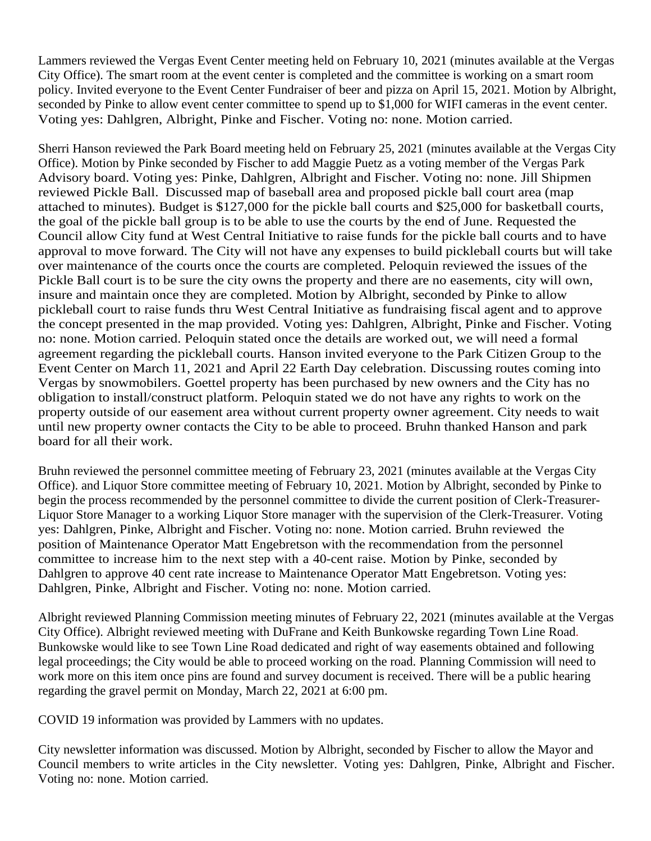Lammers reviewed the Vergas Event Center meeting held on February 10, 2021 (minutes available at the Vergas City Office). The smart room at the event center is completed and the committee is working on a smart room policy. Invited everyone to the Event Center Fundraiser of beer and pizza on April 15, 2021. Motion by Albright, seconded by Pinke to allow event center committee to spend up to \$1,000 for WIFI cameras in the event center. Voting yes: Dahlgren, Albright, Pinke and Fischer. Voting no: none. Motion carried.

Sherri Hanson reviewed the Park Board meeting held on February 25, 2021 (minutes available at the Vergas City Office). Motion by Pinke seconded by Fischer to add Maggie Puetz as a voting member of the Vergas Park Advisory board. Voting yes: Pinke, Dahlgren, Albright and Fischer. Voting no: none. Jill Shipmen reviewed Pickle Ball. Discussed map of baseball area and proposed pickle ball court area (map attached to minutes). Budget is \$127,000 for the pickle ball courts and \$25,000 for basketball courts, the goal of the pickle ball group is to be able to use the courts by the end of June. Requested the Council allow City fund at West Central Initiative to raise funds for the pickle ball courts and to have approval to move forward. The City will not have any expenses to build pickleball courts but will take over maintenance of the courts once the courts are completed. Peloquin reviewed the issues of the Pickle Ball court is to be sure the city owns the property and there are no easements, city will own, insure and maintain once they are completed. Motion by Albright, seconded by Pinke to allow pickleball court to raise funds thru West Central Initiative as fundraising fiscal agent and to approve the concept presented in the map provided. Voting yes: Dahlgren, Albright, Pinke and Fischer. Voting no: none. Motion carried. Peloquin stated once the details are worked out, we will need a formal agreement regarding the pickleball courts. Hanson invited everyone to the Park Citizen Group to the Event Center on March 11, 2021 and April 22 Earth Day celebration. Discussing routes coming into Vergas by snowmobilers. Goettel property has been purchased by new owners and the City has no obligation to install/construct platform. Peloquin stated we do not have any rights to work on the property outside of our easement area without current property owner agreement. City needs to wait until new property owner contacts the City to be able to proceed. Bruhn thanked Hanson and park board for all their work.

Bruhn reviewed the personnel committee meeting of February 23, 2021 (minutes available at the Vergas City Office). and Liquor Store committee meeting of February 10, 2021. Motion by Albright, seconded by Pinke to begin the process recommended by the personnel committee to divide the current position of Clerk-Treasurer-Liquor Store Manager to a working Liquor Store manager with the supervision of the Clerk-Treasurer. Voting yes: Dahlgren, Pinke, Albright and Fischer. Voting no: none. Motion carried. Bruhn reviewed the position of Maintenance Operator Matt Engebretson with the recommendation from the personnel committee to increase him to the next step with a 40-cent raise. Motion by Pinke, seconded by Dahlgren to approve 40 cent rate increase to Maintenance Operator Matt Engebretson. Voting yes: Dahlgren, Pinke, Albright and Fischer. Voting no: none. Motion carried.

Albright reviewed Planning Commission meeting minutes of February 22, 2021 (minutes available at the Vergas City Office). Albright reviewed meeting with DuFrane and Keith Bunkowske regarding Town Line Road. Bunkowske would like to see Town Line Road dedicated and right of way easements obtained and following legal proceedings; the City would be able to proceed working on the road. Planning Commission will need to work more on this item once pins are found and survey document is received. There will be a public hearing regarding the gravel permit on Monday, March 22, 2021 at 6:00 pm.

COVID 19 information was provided by Lammers with no updates.

City newsletter information was discussed. Motion by Albright, seconded by Fischer to allow the Mayor and Council members to write articles in the City newsletter. Voting yes: Dahlgren, Pinke, Albright and Fischer. Voting no: none. Motion carried.